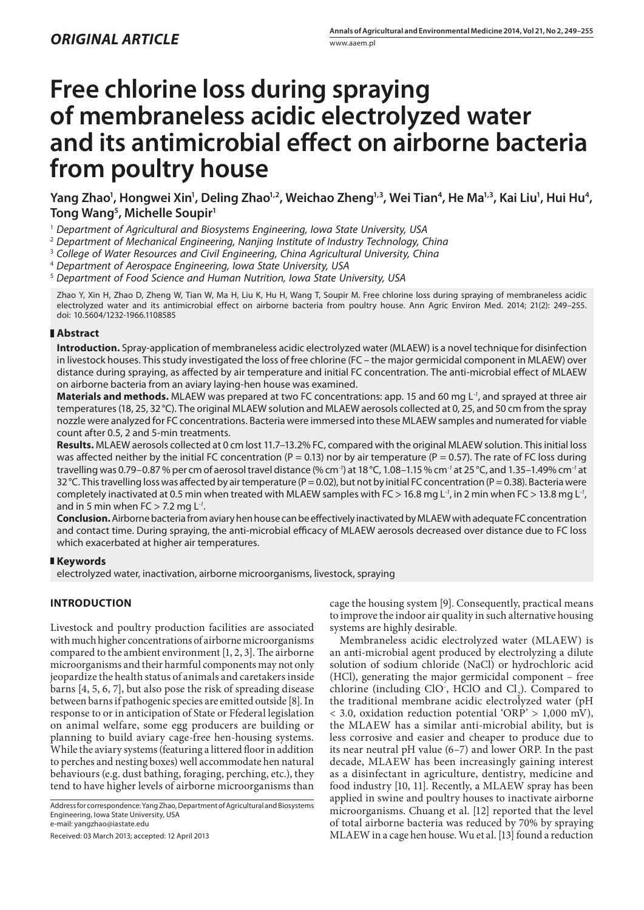# **Free chlorine loss during spraying of membraneless acidic electrolyzed water and its antimicrobial effect on airborne bacteria from poultry house**

Yang Zhao<sup>1</sup>, Hongwei Xin<sup>1</sup>, Deling Zhao<sup>1,2</sup>, Weichao Zheng<sup>1,3</sup>, Wei Tian<sup>4</sup>, He Ma<sup>1,3</sup>, Kai Liu<sup>1</sup>, Hui Hu<sup>4</sup>, **Tong Wang5 , Michelle Soupir1**

1  *Department of Agricultural and Biosystems Engineering, Iowa State University, USA*

2  *Department of Mechanical Engineering, Nanjing Institute of Industry Technology, China*

3  *College of Water Resources and Civil Engineering, China Agricultural University, China*

4  *Department of Aerospace Engineering, Iowa State University, USA*

5  *Department of Food Science and Human Nutrition, Iowa State University, USA*

Zhao Y, Xin H, Zhao D, Zheng W, Tian W, Ma H, Liu K, Hu H, Wang T, Soupir M. Free chlorine loss during spraying of membraneless acidic electrolyzed water and its antimicrobial effect on airborne bacteria from poultry house. Ann Agric Environ Med. 2014; 21(2): 249–255. doi: 10.5604/1232-1966.1108585

## **Abstract**

**Introduction.** Spray-application of membraneless acidic electrolyzed water (MLAEW) is a novel technique for disinfection in livestock houses. This study investigated the loss of free chlorine (FC – the major germicidal component in MLAEW) over distance during spraying, as affected by air temperature and initial FC concentration. The anti-microbial effect of MLAEW on airborne bacteria from an aviary laying-hen house was examined.

**Materials and methods.** MLAEW was prepared at two FC concentrations: app. 15 and 60 mg L*-1*, and sprayed at three air temperatures (18, 25, 32°C). The original MLAEW solution and MLAEW aerosols collected at 0, 25, and 50 cm from the spray nozzle were analyzed for FC concentrations. Bacteria were immersed into these MLAEW samples and numerated for viable count after 0.5, 2 and 5-min treatments.

**Results.** MLAEW aerosols collected at 0 cm lost 11.7–13.2% FC, compared with the original MLAEW solution. This initial loss was affected neither by the initial FC concentration (P = 0.13) nor by air temperature (P = 0.57). The rate of FC loss during travelling was 0.79–0.87 % per cm of aerosol travel distance (% cm*-1*) at 18°C, 1.08–1.15 % cm*-1* at 25°C, and 1.35–1.49% cm*-1* at 32 °C. This travelling loss was affected by air temperature (P = 0.02), but not by initial FC concentration (P = 0.38). Bacteria were completely inactivated at 0.5 min when treated with MLAEW samples with FC > 16.8 mg L*-1*, in 2 min when FC > 13.8 mg L*-1*, and in 5 min when FC > 7.2 mg L*-1*.

**Conclusion.** Airborne bacteria from aviary hen house can be effectively inactivated by MLAEW with adequate FC concentration and contact time. During spraying, the anti-microbial efficacy of MLAEW aerosols decreased over distance due to FC loss which exacerbated at higher air temperatures.

# **Keywords**

electrolyzed water, inactivation, airborne microorganisms, livestock, spraying

# **INTRODUCTION**

Livestock and poultry production facilities are associated with much higher concentrations of airborne microorganisms compared to the ambient environment [1, 2, 3]. The airborne microorganisms and their harmful components may not only jeopardize the health status of animals and caretakers inside barns [4, 5, 6, 7], but also pose the risk of spreading disease between barns if pathogenic species are emitted outside [8]. In response to or in anticipation of State or Ffederal legislation on animal welfare, some egg producers are building or planning to build aviary cage-free hen-housing systems. While the aviary systems (featuring a littered floor in addition to perches and nesting boxes) well accommodate hen natural behaviours (e.g. dust bathing, foraging, perching, etc.), they tend to have higher levels of airborne microorganisms than

Address for correspondence: Yang Zhao, Department of Agricultural and Biosystems Engineering, Iowa State University, USA e-mail: yangzhao@iastate.edu

Received: 03 March 2013; accepted: 12 April 2013

cage the housing system [9]. Consequently, practical means to improve the indoor air quality in such alternative housing systems are highly desirable.

Membraneless acidic electrolyzed water (MLAEW) is an anti-microbial agent produced by electrolyzing a dilute solution of sodium chloride (NaCl) or hydrochloric acid (HCl), generating the major germicidal component – free chlorine (including ClO, HClO and  $Cl<sub>2</sub>$ ). Compared to the traditional membrane acidic electrolyzed water (pH  $<$  3.0, oxidation reduction potential 'ORP' > 1,000 mV), the MLAEW has a similar anti-microbial ability, but is less corrosive and easier and cheaper to produce due to its near neutral pH value (6–7) and lower ORP. In the past decade, MLAEW has been increasingly gaining interest as a disinfectant in agriculture, dentistry, medicine and food industry [10, 11]. Recently, a MLAEW spray has been applied in swine and poultry houses to inactivate airborne microorganisms. Chuang et al. [12] reported that the level of total airborne bacteria was reduced by 70% by spraying MLAEW in a cage hen house. Wu et al. [13] found a reduction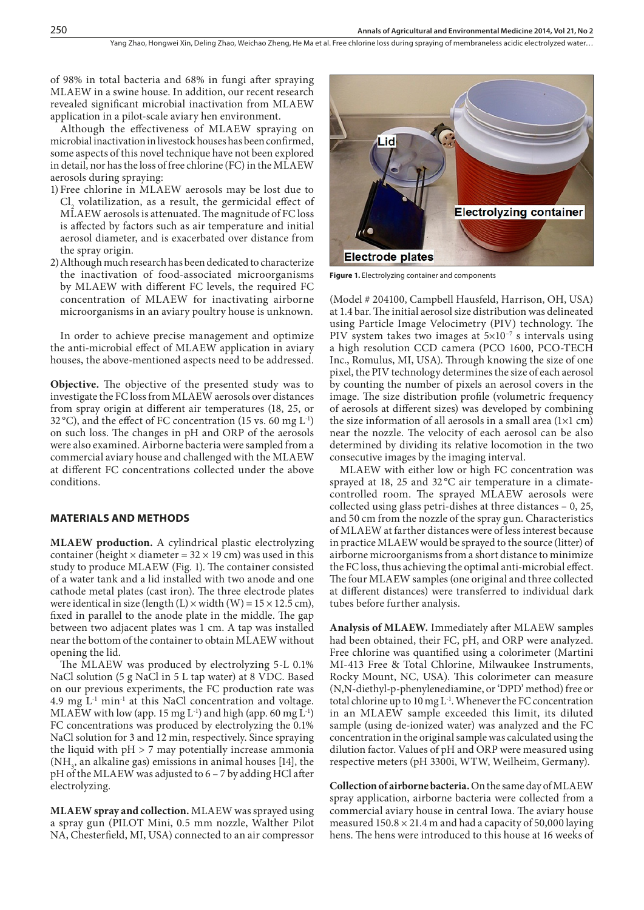of 98% in total bacteria and 68% in fungi after spraying MLAEW in a swine house. In addition, our recent research revealed significant microbial inactivation from MLAEW application in a pilot-scale aviary hen environment.

Although the effectiveness of MLAEW spraying on microbial inactivation in livestock houses has been confirmed, some aspects of this novel technique have not been explored in detail, nor has the loss of free chlorine (FC) in the MLAEW aerosols during spraying:

- 1) Free chlorine in MLAEW aerosols may be lost due to  $Cl<sub>2</sub>$  volatilization, as a result, the germicidal effect of MLAEW aerosols is attenuated. The magnitude of FC loss is affected by factors such as air temperature and initial aerosol diameter, and is exacerbated over distance from the spray origin.
- 2)Although much research has been dedicated to characterize the inactivation of food-associated microorganisms by MLAEW with different FC levels, the required FC concentration of MLAEW for inactivating airborne microorganisms in an aviary poultry house is unknown.

In order to achieve precise management and optimize the anti-microbial effect of MLAEW application in aviary houses, the above-mentioned aspects need to be addressed.

**Objective.** The objective of the presented study was to investigate the FC loss from MLAEW aerosols over distances from spray origin at different air temperatures (18, 25, or 32 °C), and the effect of FC concentration (15 vs. 60 mg  $L^{-1}$ ) on such loss. The changes in pH and ORP of the aerosols were also examined. Airborne bacteria were sampled from a commercial aviary house and challenged with the MLAEW at different FC concentrations collected under the above conditions.

#### **MATERIALS AND METHODS**

**MLAEW production.** A cylindrical plastic electrolyzing container (height  $\times$  diameter = 32  $\times$  19 cm) was used in this study to produce MLAEW (Fig. 1). The container consisted of a water tank and a lid installed with two anode and one cathode metal plates (cast iron). The three electrode plates were identical in size (length (L)  $\times$  width (W) = 15  $\times$  12.5 cm), fixed in parallel to the anode plate in the middle. The gap between two adjacent plates was 1 cm. A tap was installed near the bottom of the container to obtain MLAEW without opening the lid.

The MLAEW was produced by electrolyzing 5-L 0.1% NaCl solution (5 g NaCl in 5 L tap water) at 8 VDC. Based on our previous experiments, the FC production rate was 4.9  $mg L<sup>-1</sup> min<sup>-1</sup>$  at this NaCl concentration and voltage. MLAEW with low (app. 15 mg  $L^{-1}$ ) and high (app. 60 mg  $L^{-1}$ ) FC concentrations was produced by electrolyzing the 0.1% NaCl solution for 3 and 12 min, respectively. Since spraying the liquid with  $pH > 7$  may potentially increase ammonia  $(NH<sub>3</sub>$ , an alkaline gas) emissions in animal houses [14], the pH of the MLAEW was adjusted to 6 – 7 by adding HCl after electrolyzing.

**MLAEW spray and collection.** MLAEW was sprayed using a spray gun (PILOT Mini, 0.5 mm nozzle, Walther Pilot NA, Chesterfield, MI, USA) connected to an air compressor



**Figure 1.** Electrolyzing container and components

(Model # 204100, Campbell Hausfeld, Harrison, OH, USA) at 1.4 bar. The initial aerosol size distribution was delineated using Particle Image Velocimetry (PIV) technology. The PIV system takes two images at  $5\times10^{-7}$  s intervals using a high resolution CCD camera (PCO 1600, PCO-TECH Inc., Romulus, MI, USA). Through knowing the size of one pixel, the PIV technology determines the size of each aerosol by counting the number of pixels an aerosol covers in the image. The size distribution profile (volumetric frequency of aerosols at different sizes) was developed by combining the size information of all aerosols in a small area  $(1\times1$  cm) near the nozzle. The velocity of each aerosol can be also determined by dividing its relative locomotion in the two consecutive images by the imaging interval.

MLAEW with either low or high FC concentration was sprayed at 18, 25 and 32 °C air temperature in a climatecontrolled room. The sprayed MLAEW aerosols were collected using glass petri-dishes at three distances – 0, 25, and 50 cm from the nozzle of the spray gun. Characteristics of MLAEW at farther distances were of less interest because in practice MLAEW would be sprayed to the source (litter) of airborne microorganisms from a short distance to minimize the FC loss, thus achieving the optimal anti-microbial effect. The four MLAEW samples (one original and three collected at different distances) were transferred to individual dark tubes before further analysis.

**Analysis of MLAEW.** Immediately after MLAEW samples had been obtained, their FC, pH, and ORP were analyzed. Free chlorine was quantified using a colorimeter (Martini MI-413 Free & Total Chlorine, Milwaukee Instruments, Rocky Mount, NC, USA). This colorimeter can measure (N,N-diethyl-p-phenylenediamine, or 'DPD' method) free or total chlorine up to 10 mg L-1. Whenever the FC concentration in an MLAEW sample exceeded this limit, its diluted sample (using de-ionized water) was analyzed and the FC concentration in the original sample was calculated using the dilution factor. Values of pH and ORP were measured using respective meters (pH 3300i, WTW, Weilheim, Germany).

**Collection of airborne bacteria.** On the same day of MLAEW spray application, airborne bacteria were collected from a commercial aviary house in central Iowa. The aviary house measured  $150.8 \times 21.4$  m and had a capacity of 50,000 laying hens. The hens were introduced to this house at 16 weeks of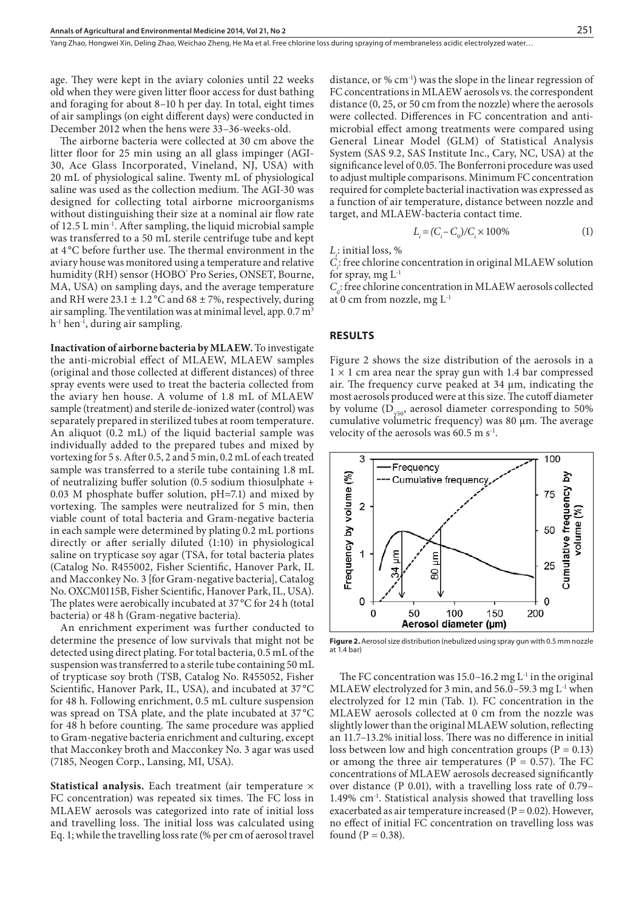Yang Zhao, Hongwei Xin, Deling Zhao, Weichao Zheng, He Ma et al. Free chlorine loss during spraying of membraneless acidic electrolyzed water…

age. They were kept in the aviary colonies until 22 weeks old when they were given litter floor access for dust bathing and foraging for about 8–10 h per day. In total, eight times of air samplings (on eight different days) were conducted in December 2012 when the hens were 33–36-weeks-old.

The airborne bacteria were collected at 30 cm above the litter floor for 25 min using an all glass impinger (AGI-30, Ace Glass Incorporated, Vineland, NJ, USA) with 20 mL of physiological saline. Twenty mL of physiological saline was used as the collection medium. The AGI-30 was designed for collecting total airborne microorganisms without distinguishing their size at a nominal air flow rate of 12.5 L min-1. After sampling, the liquid microbial sample was transferred to a 50 mL sterile centrifuge tube and kept at 4 °C before further use. The thermal environment in the aviary house was monitored using a temperature and relative humidity (RH) sensor (HOBO' Pro Series, ONSET, Bourne, MA, USA) on sampling days, and the average temperature and RH were  $23.1 \pm 1.2$  °C and  $68 \pm 7$ %, respectively, during air sampling. The ventilation was at minimal level, app.  $0.7 \text{ m}^3$  $h^{-1}$  hen<sup>-1</sup>, during air sampling.

**Inactivation of airborne bacteria by MLAEW.** To investigate the anti-microbial effect of MLAEW, MLAEW samples (original and those collected at different distances) of three spray events were used to treat the bacteria collected from the aviary hen house. A volume of 1.8 mL of MLAEW sample (treatment) and sterile de-ionized water (control) was separately prepared in sterilized tubes at room temperature. An aliquot (0.2 mL) of the liquid bacterial sample was individually added to the prepared tubes and mixed by vortexing for 5 s. After 0.5, 2 and 5 min, 0.2 mL of each treated sample was transferred to a sterile tube containing 1.8 mL of neutralizing buffer solution (0.5 sodium thiosulphate + 0.03 M phosphate buffer solution, pH=7.1) and mixed by vortexing. The samples were neutralized for 5 min, then viable count of total bacteria and Gram-negative bacteria in each sample were determined by plating 0.2 mL portions directly or after serially diluted (1:10) in physiological saline on trypticase soy agar (TSA, for total bacteria plates (Catalog No. R455002, Fisher Scientific, Hanover Park, IL and Macconkey No. 3 [for Gram-negative bacteria], Catalog No. OXCM0115B, Fisher Scientific, Hanover Park, IL, USA). The plates were aerobically incubated at 37 °C for 24 h (total bacteria) or 48 h (Gram-negative bacteria).

An enrichment experiment was further conducted to determine the presence of low survivals that might not be detected using direct plating. For total bacteria, 0.5 mL of the suspension was transferred to a sterile tube containing 50 mL of trypticase soy broth (TSB, Catalog No. R455052, Fisher Scientific, Hanover Park, IL, USA), and incubated at 37 °C for 48 h. Following enrichment, 0.5 mL culture suspension was spread on TSA plate, and the plate incubated at 37 °C for 48 h before counting. The same procedure was applied to Gram-negative bacteria enrichment and culturing, except that Macconkey broth and Macconkey No. 3 agar was used (7185, Neogen Corp., Lansing, MI, USA).

**Statistical analysis.** Each treatment (air temperature × FC concentration) was repeated six times. The FC loss in MLAEW aerosols was categorized into rate of initial loss and travelling loss. The initial loss was calculated using Eq. 1; while the travelling loss rate (% per cm of aerosol travel

distance, or % cm-1) was the slope in the linear regression of FC concentrations in MLAEW aerosols vs. the correspondent distance (0, 25, or 50 cm from the nozzle) where the aerosols were collected. Differences in FC concentration and antimicrobial effect among treatments were compared using General Linear Model (GLM) of Statistical Analysis System (SAS 9.2, SAS Institute Inc., Cary, NC, USA) at the significance level of 0.05. The Bonferroni procedure was used to adjust multiple comparisons. Minimum FC concentration required for complete bacterial inactivation was expressed as a function of air temperature, distance between nozzle and target, and MLAEW-bacteria contact time.

$$
L_i = (C_i - C_0) / C_i \times 100\%
$$
 (1)

*Li* : initial loss, %

*Ci* : free chlorine concentration in original MLAEW solution for spray, mg  $L^{-1}$ 

 $C<sub>o</sub>$ : free chlorine concentration in MLAEW aerosols collected at 0 cm from nozzle, mg L-1

#### **RESULTS**

Figure 2 shows the size distribution of the aerosols in a  $1 \times 1$  cm area near the spray gun with 1.4 bar compressed air. The frequency curve peaked at 34 µm, indicating the most aerosols produced were at this size. The cutoff diameter by volume  $(D_{\text{v50}})$  aerosol diameter corresponding to 50% cumulative volumetric frequency) was  $80 \mu m$ . The average velocity of the aerosols was 60.5 m  $s<sup>-1</sup>$ .



**Figure 2.** Aerosol size distribution (nebulized using spray gun with 0.5 mm nozzle at 1.4 bar)

The FC concentration was  $15.0-16.2$  mg  $L<sup>-1</sup>$  in the original MLAEW electrolyzed for 3 min, and 56.0–59.3 mg L-1 when electrolyzed for 12 min (Tab. 1). FC concentration in the MLAEW aerosols collected at 0 cm from the nozzle was slightly lower than the original MLAEW solution, reflecting an 11.7–13.2% initial loss. There was no difference in initial loss between low and high concentration groups ( $P = 0.13$ ) or among the three air temperatures ( $P = 0.57$ ). The FC concentrations of MLAEW aerosols decreased significantly over distance (P 0.01), with a travelling loss rate of 0.79– 1.49% cm-1. Statistical analysis showed that travelling loss exacerbated as air temperature increased ( $P = 0.02$ ). However, no effect of initial FC concentration on travelling loss was found ( $P = 0.38$ ).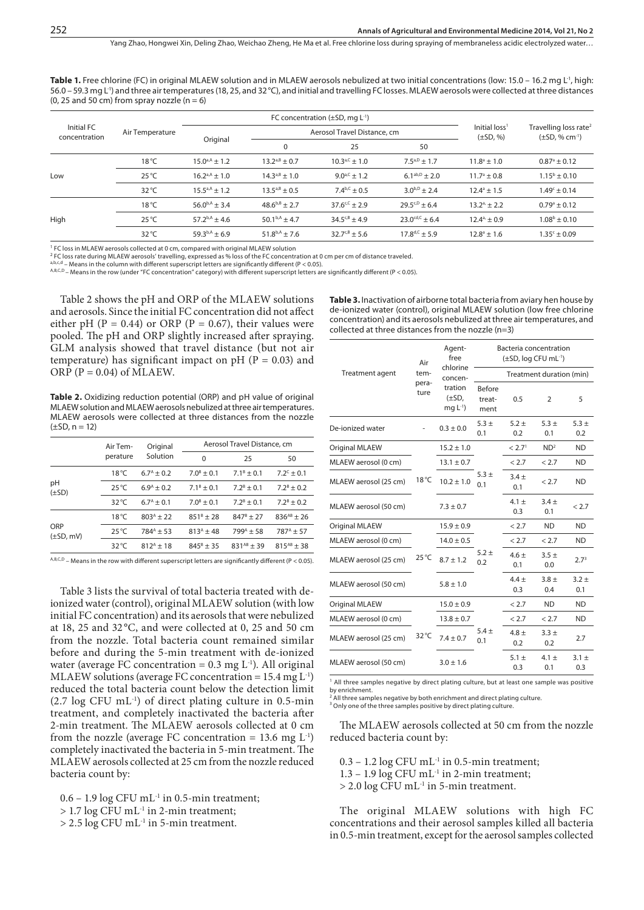Table 1. Free chlorine (FC) in original MLAEW solution and in MLAEW aerosols nebulized at two initial concentrations (low: 15.0 – 16.2 mg L<sup>-1</sup>, high: 56.0 – 59.3 mg L-1) and three air temperatures (18, 25, and 32°C), and initial and travelling FC losses. MLAEW aerosols were collected at three distances (0, 25 and 50 cm) from spray nozzle ( $n = 6$ )

| Initial FC<br>concentration | Air Temperature |                      | FC concentration $(\pm SD, mq L^{-1})$ |                             |                                            |                                                             |                         |
|-----------------------------|-----------------|----------------------|----------------------------------------|-----------------------------|--------------------------------------------|-------------------------------------------------------------|-------------------------|
|                             |                 | Original             |                                        | Aerosol Travel Distance, cm | Initial loss <sup>1</sup><br>$(\pm SD, %)$ | Travelling loss rate <sup>2</sup><br>$(\pm SD, \% cm^{-1})$ |                         |
|                             |                 |                      | 0                                      | 25                          | 50                                         |                                                             |                         |
| Low                         | $18^{\circ}$ C  | $15.0^{a,A} \pm 1.2$ | $13.2^{a,B} \pm 0.7$                   | $10.3^{a,C}$ ± 1.0          | $7.5^{a, D} \pm 1.7$                       | $11.8^{\circ} \pm 1.0$                                      | $0.87^{\circ}$ ± 0.12   |
|                             | $25^{\circ}$ C  | $16.2a^{A} \pm 1.0$  | $14.3^{a, B} \pm 1.0$                  | $9.0^{a,C} \pm 1.2$         | $6.1^{ab, D} \pm 2.0$                      | $11.7^{\circ}$ ± 0.8                                        | $1.15^{\rm b} \pm 0.10$ |
|                             | $32^{\circ}$ C  | $15.5^{a,A} \pm 1.2$ | $13.5^{a, B} \pm 0.5$                  | $7.4^{b,C}$ + 0.5           | $3.0^{b, D} + 2.4$                         | $12.4^{\circ}$ ± 1.5                                        | $1.49c + 0.14$          |
| High                        | $18^{\circ}$ C  | $56.0^{b,A} \pm 3.4$ | $48.6^{b,B} \pm 2.7$                   | $37.6^{c,C}$ + 2.9          | $29.5^{c,0}$ + 6.4                         | $13.2a + 2.2$                                               | $0.79^{\circ}$ ± 0.12   |
|                             | $25^{\circ}$ C  | $57.2^{b,A}$ + 4.6   | $50.1^{b,A} + 4.7$                     | $34.5^{c, B}$ + 4.9         | $23.0^{cd,C}$ + 6.4                        | $12.4a + 0.9$                                               | $1.08^b \pm 0.10$       |
|                             | $32^{\circ}$ C  | $59.3^{b,A} + 6.9$   | $51.8^{b,A}$ ± 7.6                     | $32.7^{c, B} \pm 5.6$       | $17.8^{d,C}$ + 5.9                         | $12.8^{\circ}$ + 1.6                                        | $1.35c + 0.09$          |

1 FC loss in MLAEW aerosols collected at 0 cm, compared with original MLAEW solution

<sup>2</sup> FC loss rate during MLAEW aerosols' travelling, expressed as % loss of the FC concentration at 0 cm per cm of distance traveled.<br><sup>a.b.c.d</sup> – Means in the column with different superscript letters are significantly diff

A,B,C,D - Means in the row (under "FC concentration" category) with different superscript letters are significantly different (P < 0.05).

Table 2 shows the pH and ORP of the MLAEW solutions and aerosols. Since the initial FC concentration did not affect either pH (P = 0.44) or ORP (P = 0.67), their values were pooled. The pH and ORP slightly increased after spraying. GLM analysis showed that travel distance (but not air temperature) has significant impact on  $pH$  (P = 0.03) and ORP ( $P = 0.04$ ) of MLAEW.

Table 2. Oxidizing reduction potential (ORP) and pH value of original MLAEW solution and MLAEW aerosols nebulized at three air temperatures. MLAEW aerosols were collected at three distances from the nozzle  $(\pm SD, n = 12)$ 

|                       | Air Tem-       | Original                 | Aerosol Travel Distance, cm |                          |                          |  |
|-----------------------|----------------|--------------------------|-----------------------------|--------------------------|--------------------------|--|
|                       | perature       | Solution                 | $\Omega$                    | 25                       | 50                       |  |
|                       | $18^{\circ}$ C | $6.7^{\text{A}}$ + 0.2   | $7.0^{\text{B}} \pm 0.1$    | $7.1^{\circ}$ ± 0.1      | $7.2^c \pm 0.1$          |  |
| pH<br>$(\pm SD)$      | $25^{\circ}$ C | $6.9^{\text{A}} + 0.2$   | $7.1^{\text{B}} \pm 0.1$    | $7.2^{\text{B}} + 0.1$   | $7.2^{\text{B}} \pm 0.2$ |  |
|                       | $32^{\circ}$ C | $6.7^{\text{A}} \pm 0.1$ | $7.0^{\text{B}} \pm 0.1$    | $7.2^{\text{B}} + 0.1$   | $7.2^{\text{B}} + 0.2$   |  |
|                       | $18^{\circ}$ C | $803^{A}$ + 22           | $851^{\circ}$ + 28          | $847^{\frac{1}{2}} + 27$ | $836^{AB}$ + 26          |  |
| ORP<br>$(\pm SD, mV)$ | $25^{\circ}$ C | $784^4$ + 53             | $813^{A}$ + 48              | $799^A + 58$             | $787^A + 57$             |  |
|                       | $32^{\circ}$ C | $812^{A}$ + 18           | $845^{\circ}$ + 35          | $831^{AB}$ + 39          | $815^{AB}$ + 38          |  |

 $A,B,C,D$  – Means in the row with different superscript letters are significantly different (P < 0.05).

Table 3 lists the survival of total bacteria treated with deionized water (control), original MLAEW solution (with low initial FC concentration) and its aerosols that were nebulized at 18, 25 and 32 °C, and were collected at 0, 25 and 50 cm from the nozzle. Total bacteria count remained similar before and during the 5-min treatment with de-ionized water (average FC concentration =  $0.3 \text{ mg L}^{-1}$ ). All original MLAEW solutions (average FC concentration =  $15.4$  mg  $L^{-1}$ ) reduced the total bacteria count below the detection limit  $(2.7 \log CFU \text{ mL}^{-1})$  of direct plating culture in 0.5-min treatment, and completely inactivated the bacteria after 2-min treatment. The MLAEW aerosols collected at 0 cm from the nozzle (average FC concentration = 13.6 mg  $L^{-1}$ ) completely inactivated the bacteria in 5-min treatment. The MLAEW aerosols collected at 25 cm from the nozzle reduced bacteria count by:

 $0.6 - 1.9 \log CFU \text{ mL}^{-1}$  in 0.5-min treatment;

 $> 1.7 \log$  CFU mL<sup>-1</sup> in 2-min treatment;

> 2.5 log CFU mL-1 in 5-min treatment.

**Table 3.** Inactivation of airborne total bacteria from aviary hen house by de-ionized water (control), original MLAEW solution (low free chlorine concentration) and its aerosols nebulized at three air temperatures, and collected at three distances from the nozzle (n=3)

|                       | Air<br>tem-<br>pera-<br>ture | Agent-<br>free<br>chlorine<br>concen-<br>tration<br>$(\pm SD,$<br>$mg L^{-1}$ | Bacteria concentration<br>(±SD, log CFU mL-1) |                    |                  |                  |
|-----------------------|------------------------------|-------------------------------------------------------------------------------|-----------------------------------------------|--------------------|------------------|------------------|
| Treatment agent       |                              |                                                                               | Treatment duration (min)                      |                    |                  |                  |
|                       |                              |                                                                               | Before<br>treat-<br>ment                      | 0.5                | 2                | 5                |
| De-ionized water      |                              | $0.3 \pm 0.0$                                                                 | $5.3 +$<br>0.1                                | $5.2 +$<br>0.2     | $5.3 \pm$<br>0.1 | $5.3 +$<br>0.2   |
| <b>Original MLAEW</b> |                              | $15.2 \pm 1.0$                                                                |                                               | < 2.7 <sup>1</sup> | ND <sup>2</sup>  | <b>ND</b>        |
| MLAEW aerosol (0 cm)  |                              | $13.1 \pm 0.7$                                                                | $5.3 +$<br>0.1                                | < 2.7              | < 2.7            | <b>ND</b>        |
| MLAEW aerosol (25 cm) | $18^{\circ}$ C               | $10.2 \pm 1.0$                                                                |                                               | $3.4 +$<br>0.1     | < 2.7            | <b>ND</b>        |
| MLAEW aerosol (50 cm) |                              | $7.3 \pm 0.7$                                                                 |                                               | $4.1 \pm$<br>0.3   | $3.4 \pm$<br>0.1 | < 2.7            |
| Original MLAEW        |                              | $15.9 \pm 0.9$                                                                |                                               | < 2.7              | <b>ND</b>        | <b>ND</b>        |
| MLAEW aerosol (0 cm)  |                              | $14.0 \pm 0.5$                                                                | $5.2 +$<br>0.2                                | < 2.7              | < 2.7            | ND.              |
| MLAEW aerosol (25 cm) | $25^{\circ}$ C               | $8.7 + 1.2$                                                                   |                                               | $4.6 +$<br>0.1     | $3.5 +$<br>0.0   | 2.7 <sup>3</sup> |
| MLAEW aerosol (50 cm) |                              | $5.8 \pm 1.0$                                                                 |                                               | $4.4 +$<br>0.3     | $3.8 +$<br>0.4   | $3.2 +$<br>0.1   |
| <b>Original MLAEW</b> |                              | $15.0 \pm 0.9$                                                                |                                               | < 2.7              | <b>ND</b>        | <b>ND</b>        |
| MLAEW aerosol (0 cm)  |                              | $13.8 \pm 0.7$                                                                | $5.4 \pm$<br>0.1                              | < 2.7              | < 2.7            | <b>ND</b>        |
| MLAEW aerosol (25 cm) | $32^{\circ}$ C               | $7.4 \pm 0.7$                                                                 |                                               | $4.8 +$<br>0.2     | $3.3 +$<br>0.2   | 2.7              |
| MLAEW aerosol (50 cm) |                              | $3.0 \pm 1.6$                                                                 |                                               | $5.1 \pm$<br>0.3   | $4.1 +$<br>0.1   | $3.1 \pm$<br>0.3 |

<sup>1</sup> All three samples negative by direct plating culture, but at least one sample was positive by enrichment.<br><sup>2</sup> All three samples negative by both enrichment and direct plating culture

<sup>3</sup> Only one of the three samples positive by direct plating culture.

The MLAEW aerosols collected at 50 cm from the nozzle reduced bacteria count by:

 $0.3 - 1.2 \log CFU \text{ mL}^{-1}$  in 0.5-min treatment;

 $1.3 - 1.9 \log CFU \text{ mL}^{-1}$  in 2-min treatment;

> 2.0 log CFU mL-1 in 5-min treatment.

The original MLAEW solutions with high FC concentrations and their aerosol samples killed all bacteria in 0.5-min treatment, except for the aerosol samples collected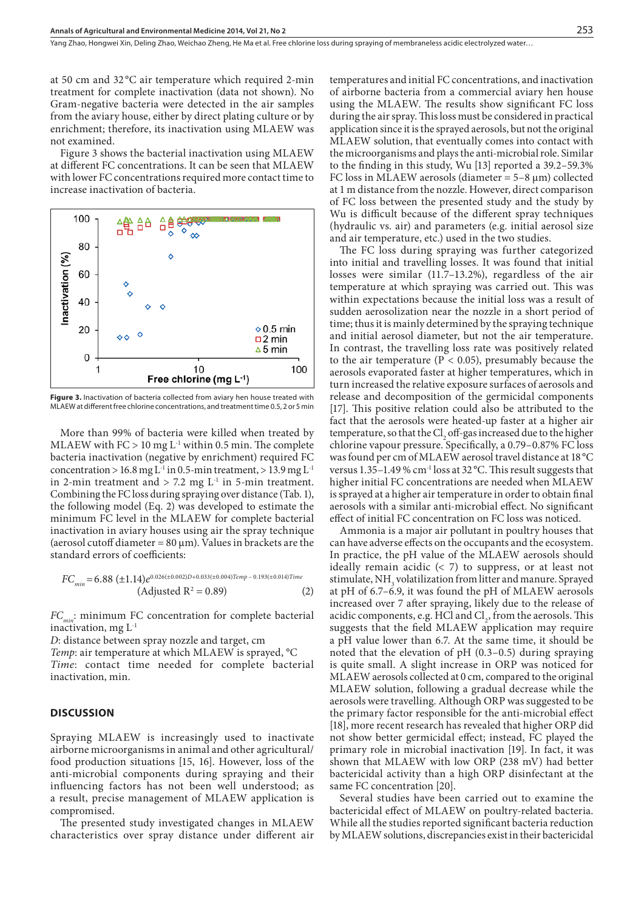at 50 cm and 32 °C air temperature which required 2-min treatment for complete inactivation (data not shown). No Gram-negative bacteria were detected in the air samples from the aviary house, either by direct plating culture or by enrichment; therefore, its inactivation using MLAEW was not examined.

Figure 3 shows the bacterial inactivation using MLAEW at different FC concentrations. It can be seen that MLAEW with lower FC concentrations required more contact time to increase inactivation of bacteria.



Figure 3. Inactivation of bacteria collected from aviary hen house treated with MLAEW at different free chlorine concentrations, and treatment time 0.5, 2 or 5 min

More than 99% of bacteria were killed when treated by MLAEW with  $FC > 10$  mg L<sup>-1</sup> within 0.5 min. The complete bacteria inactivation (negative by enrichment) required FC concentration > 16.8 mg L<sup>-1</sup> in 0.5-min treatment, > 13.9 mg L<sup>-1</sup> in 2-min treatment and  $> 7.2$  mg  $L<sup>-1</sup>$  in 5-min treatment. Combining the FC loss during spraying over distance (Tab. 1), the following model (Eq. 2) was developed to estimate the minimum FC level in the MLAEW for complete bacterial inactivation in aviary houses using air the spray technique (aerosol cutoff diameter =  $80 \mu m$ ). Values in brackets are the standard errors of coefficients:

$$
FC_{min} = 6.88 \left( \pm 1.14 \right) e^{0.026(\pm 0.002)D + 0.033(\pm 0.004)Temp - 0.193(\pm 0.014)Time} \left( \text{Adjusted } R^2 = 0.89 \right) \tag{2}
$$

*FC<sub>min</sub>*: minimum FC concentration for complete bacterial inactivation, mg  $L<sup>1</sup>$ 

*D*: distance between spray nozzle and target, cm

*Temp*: air temperature at which MLAEW is sprayed, °C

*Time*: contact time needed for complete bacterial inactivation, min.

#### **DISCUSSION**

Spraying MLAEW is increasingly used to inactivate airborne microorganisms in animal and other agricultural/ food production situations [15, 16]. However, loss of the anti-microbial components during spraying and their influencing factors has not been well understood; as a result, precise management of MLAEW application is compromised.

The presented study investigated changes in MLAEW characteristics over spray distance under different air temperatures and initial FC concentrations, and inactivation of airborne bacteria from a commercial aviary hen house using the MLAEW. The results show significant FC loss during the air spray. This loss must be considered in practical application since it is the sprayed aerosols, but not the original MLAEW solution, that eventually comes into contact with the microorganisms and plays the anti-microbial role. Similar to the finding in this study, Wu [13] reported a 39.2–59.3% FC loss in MLAEW aerosols (diameter  $= 5-8 \mu m$ ) collected at 1 m distance from the nozzle. However, direct comparison of FC loss between the presented study and the study by Wu is difficult because of the different spray techniques (hydraulic vs. air) and parameters (e.g. initial aerosol size and air temperature, etc.) used in the two studies.

The FC loss during spraying was further categorized into initial and travelling losses. It was found that initial losses were similar (11.7–13.2%), regardless of the air temperature at which spraying was carried out. This was within expectations because the initial loss was a result of sudden aerosolization near the nozzle in a short period of time; thus it is mainly determined by the spraying technique and initial aerosol diameter, but not the air temperature. In contrast, the travelling loss rate was positively related to the air temperature ( $P < 0.05$ ), presumably because the aerosols evaporated faster at higher temperatures, which in turn increased the relative exposure surfaces of aerosols and release and decomposition of the germicidal components [17]. This positive relation could also be attributed to the fact that the aerosols were heated-up faster at a higher air temperature, so that the  $Cl_2$  off-gas increased due to the higher chlorine vapour pressure. Specifically, a 0.79–0.87% FC loss was found per cm of MLAEW aerosol travel distance at 18 °C versus 1.35–1.49 % cm-1 loss at 32 °C. This result suggests that higher initial FC concentrations are needed when MLAEW is sprayed at a higher air temperature in order to obtain final aerosols with a similar anti-microbial effect. No significant effect of initial FC concentration on FC loss was noticed.

Ammonia is a major air pollutant in poultry houses that can have adverse effects on the occupants and the ecosystem. In practice, the pH value of the MLAEW aerosols should ideally remain acidic  $(2, 7)$  to suppress, or at least not stimulate, NH<sub>3</sub> volatilization from litter and manure. Sprayed at pH of 6.7–6.9, it was found the pH of MLAEW aerosols increased over 7 after spraying, likely due to the release of acidic components, e.g.  $HCl$  and  $Cl<sub>2</sub>$ , from the aerosols. This suggests that the field MLAEW application may require a pH value lower than 6.7. At the same time, it should be noted that the elevation of pH (0.3–0.5) during spraying is quite small. A slight increase in ORP was noticed for MLAEW aerosols collected at 0 cm, compared to the original MLAEW solution, following a gradual decrease while the aerosols were travelling. Although ORP was suggested to be the primary factor responsible for the anti-microbial effect [18], more recent research has revealed that higher ORP did not show better germicidal effect; instead, FC played the primary role in microbial inactivation [19]. In fact, it was shown that MLAEW with low ORP (238 mV) had better bactericidal activity than a high ORP disinfectant at the same FC concentration [20].

Several studies have been carried out to examine the bactericidal effect of MLAEW on poultry-related bacteria. While all the studies reported significant bacteria reduction by MLAEW solutions, discrepancies exist in their bactericidal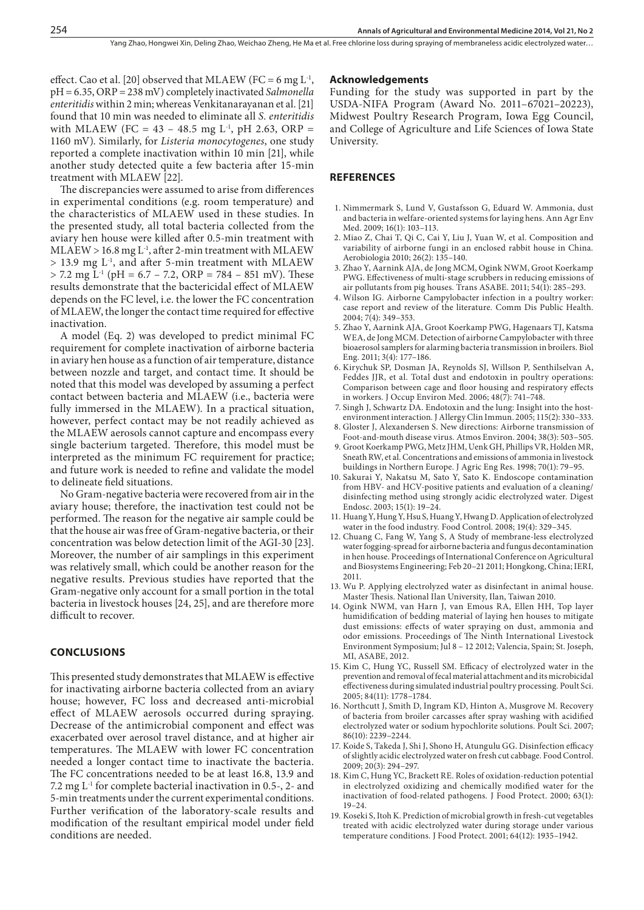effect. Cao et al. [20] observed that MLAEW (FC = 6 mg  $L^{-1}$ , pH = 6.35, ORP = 238 mV) completely inactivated *Salmonella enteritidis* within 2 min; whereas Venkitanarayanan et al. [21] found that 10 min was needed to eliminate all *S. enteritidis* with MLAEW (FC = 43 – 48.5 mg  $L^1$ , pH 2.63, ORP = 1160 mV). Similarly, for *Listeria monocytogenes*, one study reported a complete inactivation within 10 min [21], while another study detected quite a few bacteria after 15-min treatment with MLAEW [22].

The discrepancies were assumed to arise from differences in experimental conditions (e.g. room temperature) and the characteristics of MLAEW used in these studies. In the presented study, all total bacteria collected from the aviary hen house were killed after 0.5-min treatment with  $MLAEW > 16.8$  mg L<sup>-1</sup>, after 2-min treatment with  $MLAEW$  $>$  13.9 mg L<sup>-1</sup>, and after 5-min treatment with MLAEW  $>$  7.2 mg L<sup>-1</sup> (pH = 6.7 – 7.2, ORP = 784 – 851 mV). These results demonstrate that the bactericidal effect of MLAEW depends on the FC level, i.e. the lower the FC concentration of MLAEW, the longer the contact time required for effective inactivation.

A model (Eq. 2) was developed to predict minimal FC requirement for complete inactivation of airborne bacteria in aviary hen house as a function of air temperature, distance between nozzle and target, and contact time. It should be noted that this model was developed by assuming a perfect contact between bacteria and MLAEW (i.e., bacteria were fully immersed in the MLAEW). In a practical situation, however, perfect contact may be not readily achieved as the MLAEW aerosols cannot capture and encompass every single bacterium targeted. Therefore, this model must be interpreted as the minimum FC requirement for practice; and future work is needed to refine and validate the model to delineate field situations.

No Gram-negative bacteria were recovered from air in the aviary house; therefore, the inactivation test could not be performed. The reason for the negative air sample could be that the house air was free of Gram-negative bacteria, or their concentration was below detection limit of the AGI-30 [23]. Moreover, the number of air samplings in this experiment was relatively small, which could be another reason for the negative results. Previous studies have reported that the Gram-negative only account for a small portion in the total bacteria in livestock houses [24, 25], and are therefore more difficult to recover.

## **CONCLUSIONS**

This presented study demonstrates that MLAEW is effective for inactivating airborne bacteria collected from an aviary house; however, FC loss and decreased anti-microbial effect of MLAEW aerosols occurred during spraying. Decrease of the antimicrobial component and effect was exacerbated over aerosol travel distance, and at higher air temperatures. The MLAEW with lower FC concentration needed a longer contact time to inactivate the bacteria. The FC concentrations needed to be at least 16.8, 13.9 and 7.2 mg L-1 for complete bacterial inactivation in 0.5-, 2- and 5-min treatments under the current experimental conditions. Further verification of the laboratory-scale results and modification of the resultant empirical model under field conditions are needed.

#### **Acknowledgements**

Funding for the study was supported in part by the USDA-NIFA Program (Award No. 2011–67021–20223), Midwest Poultry Research Program, Iowa Egg Council, and College of Agriculture and Life Sciences of Iowa State University.

## **REFERENCES**

- 1. Nimmermark S, Lund V, Gustafsson G, Eduard W. Ammonia, dust and bacteria in welfare-oriented systems for laying hens*.* Ann Agr Env Med. 2009; 16(1): 103–113.
- 2. Miao Z, Chai T, Qi C, Cai Y, Liu J, Yuan W, et al. Composition and variability of airborne fungi in an enclosed rabbit house in China*.* Aerobiologia 2010; 26(2): 135–140.
- 3. Zhao Y, Aarnink AJA, de Jong MCM, Ogink NWM, Groot Koerkamp PWG. Effectiveness of multi-stage scrubbers in reducing emissions of air pollutants from pig houses*.* Trans ASABE. 2011; 54(1): 285–293.
- 4. Wilson IG. Airborne Campylobacter infection in a poultry worker: case report and review of the literature*.* Comm Dis Public Health. 2004; 7(4): 349–353.
- 5. Zhao Y, Aarnink AJA, Groot Koerkamp PWG, Hagenaars TJ, Katsma WEA, de Jong MCM. Detection of airborne Campylobacter with three bioaerosol samplers for alarming bacteria transmission in broilers*.* Biol Eng. 2011; 3(4): 177–186.
- 6. Kirychuk SP, Dosman JA, Reynolds SJ, Willson P, Senthilselvan A, Feddes JJR, et al. Total dust and endotoxin in poultry operations: Comparison between cage and floor housing and respiratory effects in workers*.* J Occup Environ Med. 2006; 48(7): 741–748.
- 7. Singh J, Schwartz DA. Endotoxin and the lung: Insight into the hostenvironment interaction*.* J Allergy Clin Immun. 2005; 115(2): 330–333.
- 8. Gloster J, Alexandersen S. New directions: Airborne transmission of Foot-and-mouth disease virus*.* Atmos Environ. 2004; 38(3): 503–505.
- 9. Groot Koerkamp PWG, Metz JHM, Uenk GH, Phillips VR, Holden MR, Sneath RW, et al. Concentrations and emissions of ammonia in livestock buildings in Northern Europe*.* J Agric Eng Res. 1998; 70(1): 79–95.
- 10. Sakurai Y, Nakatsu M, Sato Y, Sato K. Endoscope contamination from HBV- and HCV-positive patients and evaluation of a cleaning/ disinfecting method using strongly acidic electrolyzed water*.* Digest Endosc. 2003; 15(1): 19–24.
- 11. Huang Y, Hung Y, Hsu S, Huang Y, Hwang D. Application of electrolyzed water in the food industry*.* Food Control. 2008; 19(4): 329–345.
- 12. Chuang C, Fang W, Yang S, A Study of membrane-less electrolyzed water fogging-spread for airborne bacteria and fungus decontamination in hen house. Proceedings of International Conference on Agricultural and Biosystems Engineering; Feb 20–21 2011; Hongkong, China; IERI, 2011.
- 13. Wu P. Applying electrolyzed water as disinfectant in animal house. Master Thesis. National Ilan University, Ilan, Taiwan 2010.
- 14. Ogink NWM, van Harn J, van Emous RA, Ellen HH, Top layer humidification of bedding material of laying hen houses to mitigate dust emissions: effects of water spraying on dust, ammonia and odor emissions. Proceedings of The Ninth International Livestock Environment Symposium; Jul 8 – 12 2012; Valencia, Spain; St. Joseph, MI, ASABE, 2012.
- 15. Kim C, Hung YC, Russell SM. Efficacy of electrolyzed water in the prevention and removal of fecal material attachment and its microbicidal effectiveness during simulated industrial poultry processing*.* Poult Sci. 2005; 84(11): 1778–1784.
- 16. Northcutt J, Smith D, Ingram KD, Hinton A, Musgrove M. Recovery of bacteria from broiler carcasses after spray washing with acidified electrolyzed water or sodium hypochlorite solutions*.* Poult Sci. 2007; 86(10): 2239–2244.
- 17. Koide S, Takeda J, Shi J, Shono H, Atungulu GG. Disinfection efficacy of slightly acidic electrolyzed water on fresh cut cabbage*.* Food Control. 2009; 20(3): 294–297.
- 18. Kim C, Hung YC, Brackett RE. Roles of oxidation-reduction potential in electrolyzed oxidizing and chemically modified water for the inactivation of food-related pathogens*.* J Food Protect. 2000; 63(1): 19–24.
- 19. Koseki S, Itoh K. Prediction of microbial growth in fresh-cut vegetables treated with acidic electrolyzed water during storage under various temperature conditions*.* J Food Protect. 2001; 64(12): 1935–1942.